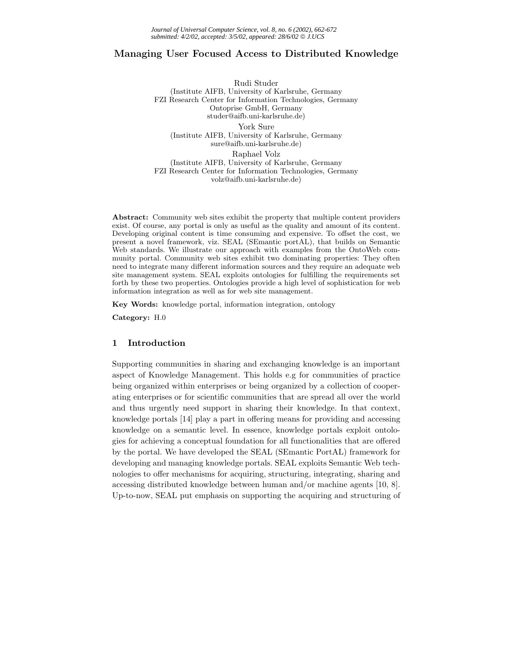# **Managing User Focused Access to Distributed Knowledge**

Rudi Studer (Institute AIFB, University of Karlsruhe, Germany FZI Research Center for Information Technologies, Germany Ontoprise GmbH, Germany studer@aifb.uni-karlsruhe.de) York Sure (Institute AIFB, University of Karlsruhe, Germany sure@aifb.uni-karlsruhe.de) Raphael Volz (Institute AIFB, University of Karlsruhe, Germany FZI Research Center for Information Technologies, Germany volz@aifb.uni-karlsruhe.de)

**Abstract:** Community web sites exhibit the property that multiple content providers exist. Of course, any portal is only as useful as the quality and amount of its content. Developing original content is time consuming and expensive. To offset the cost, we present a novel framework, viz. SEAL (SEmantic portAL), that builds on Semantic Web standards. We illustrate our approach with examples from the OntoWeb community portal. Community web sites exhibit two dominating properties: They often need to integrate many different information sources and they require an adequate web site management system. SEAL exploits ontologies for fulfilling the requirements set forth by these two properties. Ontologies provide a high level of sophistication for web information integration as well as for web site management.

**Key Words:** knowledge portal, information integration, ontology

**Category:** H.0

#### **1 Introduction**

Supporting communities in sharing and exchanging knowledge is an important aspect of Knowledge Management. This holds e.g for communities of practice being organized within enterprises or being organized by a collection of cooperating enterprises or for scientific communities that are spread all over the world and thus urgently need support in sharing their knowledge. In that context, knowledge portals [14] play a part in offering means for providing and accessing knowledge on a semantic level. In essence, knowledge portals exploit ontologies for achieving a conceptual foundation for all functionalities that are offered by the portal. We have developed the SEAL (SEmantic PortAL) framework for developing and managing knowledge portals. SEAL exploits Semantic Web technologies to offer mechanisms for acquiring, structuring, integrating, sharing and accessing distributed knowledge between human and/or machine agents [10, 8]. Up-to-now, SEAL put emphasis on supporting the acquiring and structuring of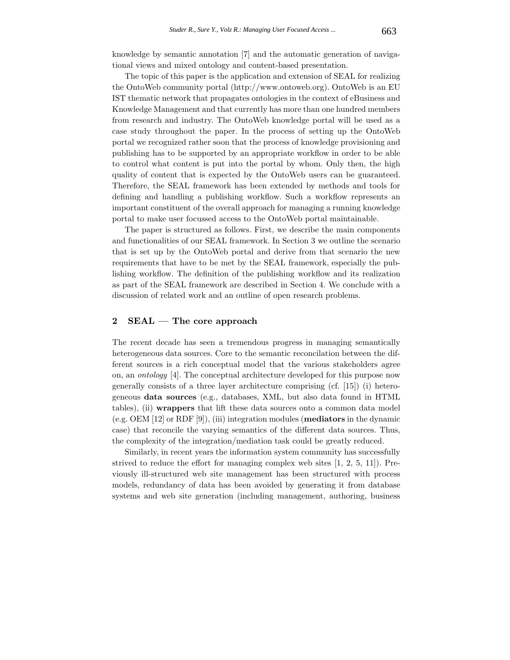knowledge by semantic annotation [7] and the automatic generation of navigational views and mixed ontology and content-based presentation.

The topic of this paper is the application and extension of SEAL for realizing the OntoWeb community portal (http://www.ontoweb.org). OntoWeb is an EU IST thematic network that propagates ontologies in the context of eBusiness and Knowledge Management and that currently has more than one hundred members from research and industry. The OntoWeb knowledge portal will be used as a case study throughout the paper. In the process of setting up the OntoWeb portal we recognized rather soon that the process of knowledge provisioning and publishing has to be supported by an appropriate workflow in order to be able to control what content is put into the portal by whom. Only then, the high quality of content that is expected by the OntoWeb users can be guaranteed. Therefore, the SEAL framework has been extended by methods and tools for defining and handling a publishing workflow. Such a workflow represents an important constituent of the overall approach for managing a running knowledge portal to make user focussed access to the OntoWeb portal maintainable.

The paper is structured as follows. First, we describe the main components and functionalities of our SEAL framework. In Section 3 we outline the scenario that is set up by the OntoWeb portal and derive from that scenario the new requirements that have to be met by the SEAL framework, especially the publishing workflow. The definition of the publishing workflow and its realization as part of the SEAL framework are described in Section 4. We conclude with a discussion of related work and an outline of open research problems.

# **2 SEAL — The core approach**

The recent decade has seen a tremendous progress in managing semantically heterogeneous data sources. Core to the semantic reconcilation between the different sources is a rich conceptual model that the various stakeholders agree on, an *ontology* [4]. The conceptual architecture developed for this purpose now generally consists of a three layer architecture comprising (cf.  $[15]$ ) (i) heterogeneous **data sources** (e.g., databases, XML, but also data found in HTML tables), (ii) **wrappers** that lift these data sources onto a common data model (e.g. OEM [12] or RDF [9]), (iii) integration modules (**mediators** in the dynamic case) that reconcile the varying semantics of the different data sources. Thus, the complexity of the integration/mediation task could be greatly reduced.

Similarly, in recent years the information system community has successfully strived to reduce the effort for managing complex web sites [1, 2, 5, 11]). Previously ill-structured web site management has been structured with process models, redundancy of data has been avoided by generating it from database systems and web site generation (including management, authoring, business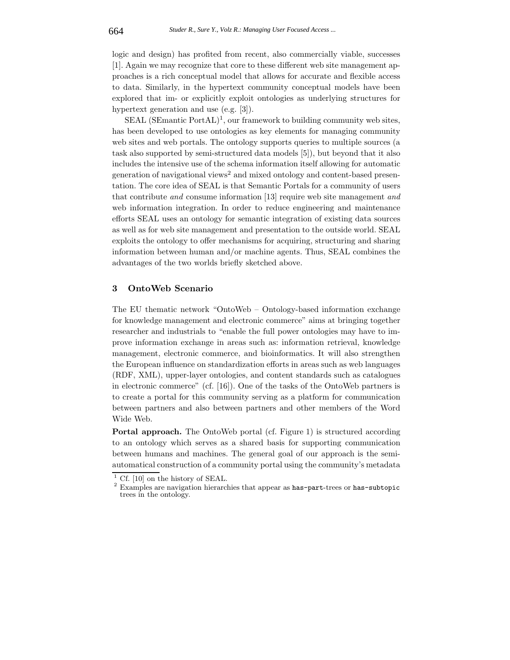logic and design) has profited from recent, also commercially viable, successes [1]. Again we may recognize that core to these different web site management approaches is a rich conceptual model that allows for accurate and flexible access to data. Similarly, in the hypertext community conceptual models have been explored that im- or explicitly exploit ontologies as underlying structures for hypertext generation and use (e.g. [3]).

SEAL (SEmantic PortAL)<sup>1</sup>, our framework to building community web sites, has been developed to use ontologies as key elements for managing community web sites and web portals. The ontology supports queries to multiple sources (a task also supported by semi-structured data models [5]), but beyond that it also includes the intensive use of the schema information itself allowing for automatic generation of navigational views<sup>2</sup> and mixed ontology and content-based presentation. The core idea of SEAL is that Semantic Portals for a community of users that contribute *and* consume information [13] require web site management *and* web information integration. In order to reduce engineering and maintenance efforts SEAL uses an ontology for semantic integration of existing data sources as well as for web site management and presentation to the outside world. SEAL exploits the ontology to offer mechanisms for acquiring, structuring and sharing information between human and/or machine agents. Thus, SEAL combines the advantages of the two worlds briefly sketched above.

# **3 OntoWeb Scenario**

The EU thematic network "OntoWeb – Ontology-based information exchange for knowledge management and electronic commerce" aims at bringing together researcher and industrials to "enable the full power ontologies may have to improve information exchange in areas such as: information retrieval, knowledge management, electronic commerce, and bioinformatics. It will also strengthen the European influence on standardization efforts in areas such as web languages (RDF, XML), upper-layer ontologies, and content standards such as catalogues in electronic commerce" (cf. [16]). One of the tasks of the OntoWeb partners is to create a portal for this community serving as a platform for communication between partners and also between partners and other members of the Word Wide Web.

**Portal approach.** The OntoWeb portal (cf. Figure 1) is structured according to an ontology which serves as a shared basis for supporting communication between humans and machines. The general goal of our approach is the semiautomatical construction of a community portal using the community's metadata

 $^1$  Cf. [10] on the history of SEAL.  $^2$  Examples are navigation hierarchies that appear as  $\mathtt{has-part-trees}$  or  $\mathtt{has-subtopic}$ trees in the ontology.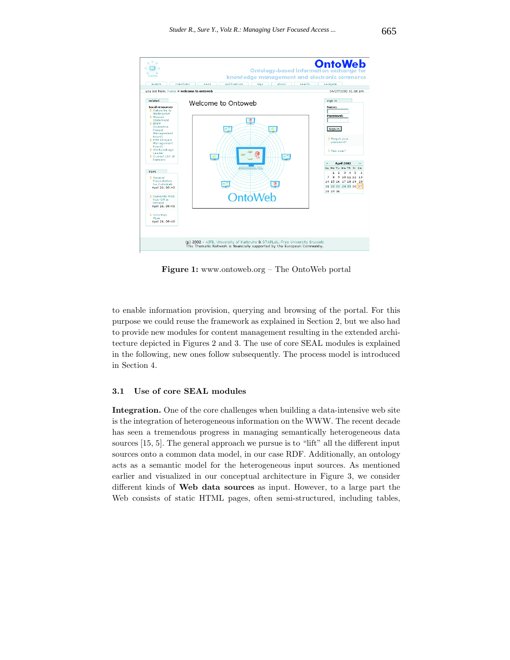

**Figure 1:** www.ontoweb.org – The OntoWeb portal

to enable information provision, querying and browsing of the portal. For this purpose we could reuse the framework as explained in Section 2, but we also had to provide new modules for content management resulting in the extended architecture depicted in Figures 2 and 3. The use of core SEAL modules is explained in the following, new ones follow subsequently. The process model is introduced in Section 4.

### **3.1 Use of core SEAL modules**

**Integration.** One of the core challenges when building a data-intensive web site is the integration of heterogeneous information on the WWW. The recent decade has seen a tremendous progress in managing semantically heterogeneous data sources [15, 5]. The general approach we pursue is to "lift" all the different input sources onto a common data model, in our case RDF. Additionally, an ontology acts as a semantic model for the heterogeneous input sources. As mentioned earlier and visualized in our conceptual architecture in Figure 3, we consider different kinds of **Web data sources** as input. However, to a large part the Web consists of static HTML pages, often semi-structured, including tables,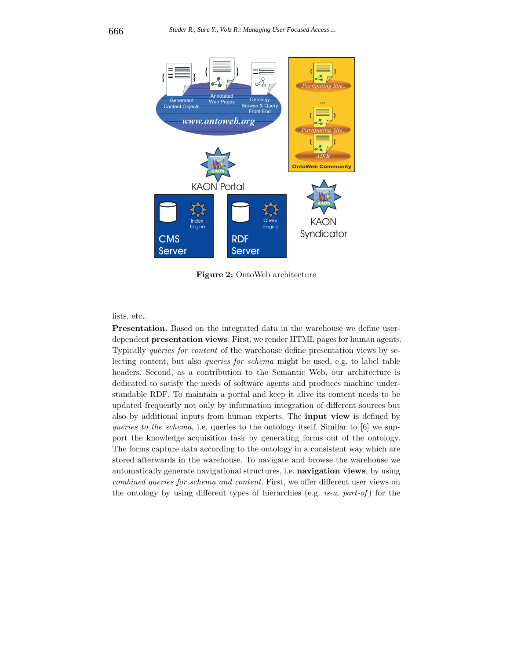

**Figure 2:** OntoWeb architecture

lists, etc..

**Presentation.** Based on the integrated data in the warehouse we define userdependent **presentation views**. First, we render HTML pages for human agents. Typically *queries for content* of the warehouse define presentation views by selecting content, but also *queries for schema* might be used, e.g. to label table headers. Second, as a contribution to the Semantic Web, our architecture is dedicated to satisfy the needs of software agents and produces machine understandable RDF. To maintain a portal and keep it alive its content needs to be updated frequently not only by information integration of different sources but also by additional inputs from human experts. The **input view** is defined by *queries to the schema*, i.e. queries to the ontology itself. Similar to [6] we support the knowledge acquisition task by generating forms out of the ontology. The forms capture data according to the ontology in a consistent way which are stored afterwards in the warehouse. To navigate and browse the warehouse we automatically generate navigational structures, i.e. **navigation views**, by using *combined queries for schema and content*. First, we offer different user views on the ontology by using different types of hierarchies (e.g. *is-a*, *part-of* ) for the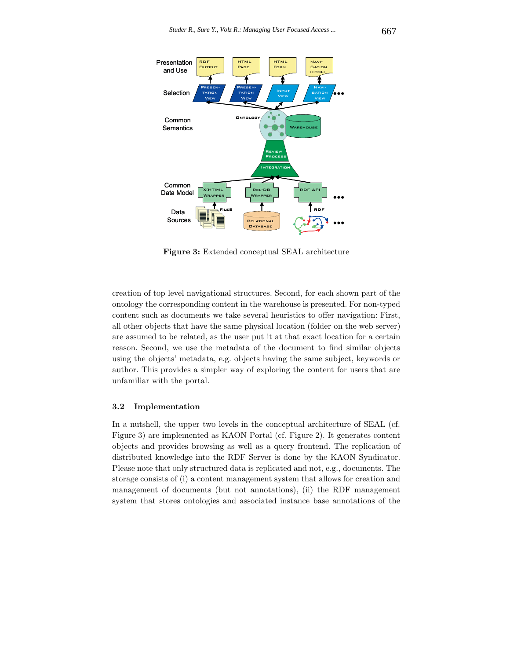

**Figure 3:** Extended conceptual SEAL architecture

creation of top level navigational structures. Second, for each shown part of the ontology the corresponding content in the warehouse is presented. For non-typed content such as documents we take several heuristics to offer navigation: First, all other objects that have the same physical location (folder on the web server) are assumed to be related, as the user put it at that exact location for a certain reason. Second, we use the metadata of the document to find similar objects using the objects' metadata, e.g. objects having the same subject, keywords or author. This provides a simpler way of exploring the content for users that are unfamiliar with the portal.

### **3.2 Implementation**

In a nutshell, the upper two levels in the conceptual architecture of SEAL (cf. Figure 3) are implemented as KAON Portal (cf. Figure 2). It generates content objects and provides browsing as well as a query frontend. The replication of distributed knowledge into the RDF Server is done by the KAON Syndicator. Please note that only structured data is replicated and not, e.g., documents. The storage consists of (i) a content management system that allows for creation and management of documents (but not annotations), (ii) the RDF management system that stores ontologies and associated instance base annotations of the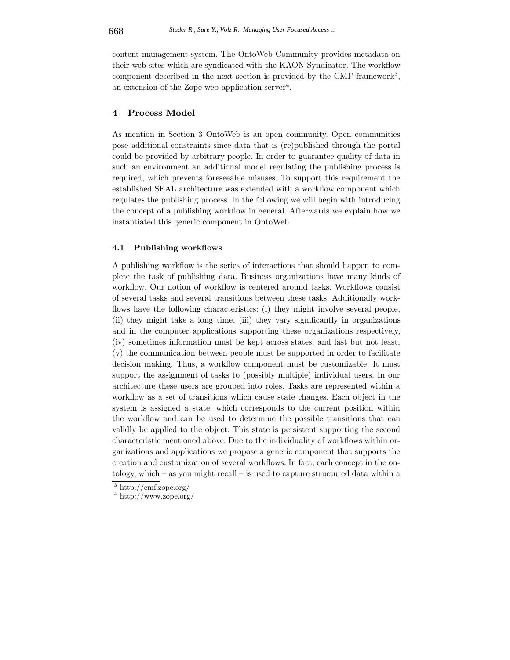content management system. The OntoWeb Community provides metadata on their web sites which are syndicated with the KAON Syndicator. The workflow component described in the next section is provided by the  $CMF$  framework<sup>3</sup>, an extension of the Zope web application server<sup>4</sup>.

### **4 Process Model**

As mention in Section 3 OntoWeb is an open community. Open communities pose additional constraints since data that is (re)published through the portal could be provided by arbitrary people. In order to guarantee quality of data in such an environment an additional model regulating the publishing process is required, which prevents foreseeable misuses. To support this requirement the established SEAL architecture was extended with a workflow component which regulates the publishing process. In the following we will begin with introducing the concept of a publishing workflow in general. Afterwards we explain how we instantiated this generic component in OntoWeb.

#### **4.1 Publishing workflows**

A publishing workflow is the series of interactions that should happen to complete the task of publishing data. Business organizations have many kinds of workflow. Our notion of workflow is centered around tasks. Workflows consist of several tasks and several transitions between these tasks. Additionally workflows have the following characteristics: (i) they might involve several people, (ii) they might take a long time, (iii) they vary significantly in organizations and in the computer applications supporting these organizations respectively, (iv) sometimes information must be kept across states, and last but not least, (v) the communication between people must be supported in order to facilitate decision making. Thus, a workflow component must be customizable. It must support the assignment of tasks to (possibly multiple) individual users. In our architecture these users are grouped into roles. Tasks are represented within a workflow as a set of transitions which cause state changes. Each object in the system is assigned a state, which corresponds to the current position within the workflow and can be used to determine the possible transitions that can validly be applied to the object. This state is persistent supporting the second characteristic mentioned above. Due to the individuality of workflows within organizations and applications we propose a generic component that supports the creation and customization of several workflows. In fact, each concept in the ontology, which – as you might recall – is used to capture structured data within a

 $^3$ http://cmf.zope.org/ $^4$ http://www.zope.org/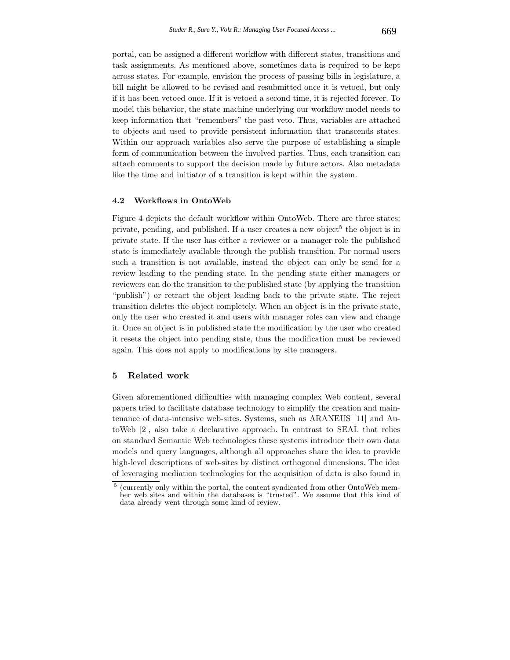portal, can be assigned a different workflow with different states, transitions and task assignments. As mentioned above, sometimes data is required to be kept across states. For example, envision the process of passing bills in legislature, a bill might be allowed to be revised and resubmitted once it is vetoed, but only if it has been vetoed once. If it is vetoed a second time, it is rejected forever. To model this behavior, the state machine underlying our workflow model needs to keep information that "remembers" the past veto. Thus, variables are attached to objects and used to provide persistent information that transcends states. Within our approach variables also serve the purpose of establishing a simple form of communication between the involved parties. Thus, each transition can attach comments to support the decision made by future actors. Also metadata like the time and initiator of a transition is kept within the system.

### **4.2 Workflows in OntoWeb**

Figure 4 depicts the default workflow within OntoWeb. There are three states: private, pending, and published. If a user creates a new object<sup>5</sup> the object is in private state. If the user has either a reviewer or a manager role the published state is immediately available through the publish transition. For normal users such a transition is not available, instead the object can only be send for a review leading to the pending state. In the pending state either managers or reviewers can do the transition to the published state (by applying the transition "publish") or retract the object leading back to the private state. The reject transition deletes the object completely. When an object is in the private state, only the user who created it and users with manager roles can view and change it. Once an object is in published state the modification by the user who created it resets the object into pending state, thus the modification must be reviewed again. This does not apply to modifications by site managers.

## **5 Related work**

Given aforementioned difficulties with managing complex Web content, several papers tried to facilitate database technology to simplify the creation and maintenance of data-intensive web-sites. Systems, such as ARANEUS [11] and AutoWeb [2], also take a declarative approach. In contrast to SEAL that relies on standard Semantic Web technologies these systems introduce their own data models and query languages, although all approaches share the idea to provide high-level descriptions of web-sites by distinct orthogonal dimensions. The idea of leveraging mediation technologies for the acquisition of data is also found in

<sup>5</sup> (currently only within the portal, the content syndicated from other OntoWeb member web sites and within the databases is "trusted". We assume that this kind of data already went through some kind of review.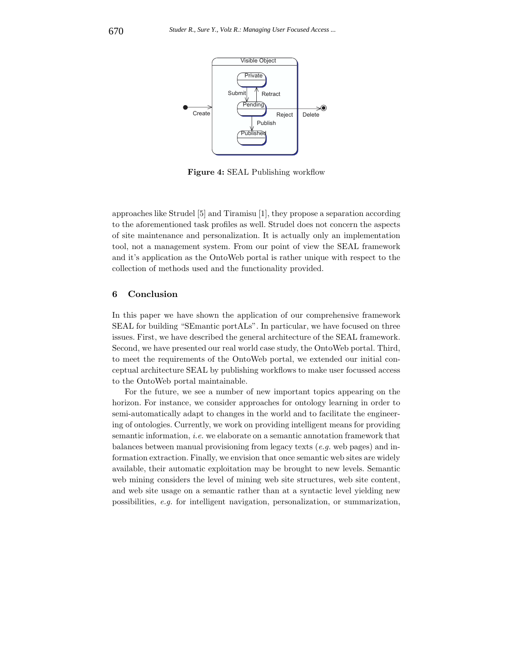

**Figure 4:** SEAL Publishing workflow

approaches like Strudel [5] and Tiramisu [1], they propose a separation according to the aforementioned task profiles as well. Strudel does not concern the aspects of site maintenance and personalization. It is actually only an implementation tool, not a management system. From our point of view the SEAL framework and it's application as the OntoWeb portal is rather unique with respect to the collection of methods used and the functionality provided.

## **6 Conclusion**

In this paper we have shown the application of our comprehensive framework SEAL for building "SEmantic portALs". In particular, we have focused on three issues. First, we have described the general architecture of the SEAL framework. Second, we have presented our real world case study, the OntoWeb portal. Third, to meet the requirements of the OntoWeb portal, we extended our initial conceptual architecture SEAL by publishing workflows to make user focussed access to the OntoWeb portal maintainable.

For the future, we see a number of new important topics appearing on the horizon. For instance, we consider approaches for ontology learning in order to semi-automatically adapt to changes in the world and to facilitate the engineering of ontologies. Currently, we work on providing intelligent means for providing semantic information, *i.e.* we elaborate on a semantic annotation framework that balances between manual provisioning from legacy texts (*e.g.* web pages) and information extraction. Finally, we envision that once semantic web sites are widely available, their automatic exploitation may be brought to new levels. Semantic web mining considers the level of mining web site structures, web site content, and web site usage on a semantic rather than at a syntactic level yielding new possibilities, *e.g.* for intelligent navigation, personalization, or summarization,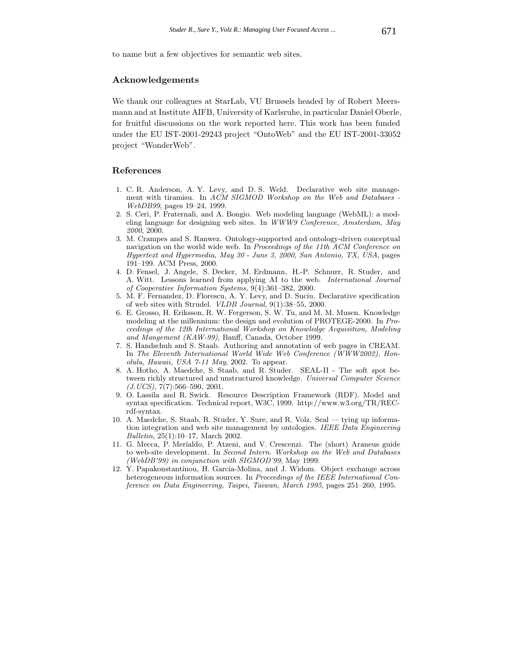to name but a few objectives for semantic web sites.

### **Acknowledgements**

We thank our colleagues at StarLab, VU Brussels headed by of Robert Meersmann and at Institute AIFB, University of Karlsruhe, in particular Daniel Oberle, for fruitful discussions on the work reported here. This work has been funded under the EU IST-2001-29243 project "OntoWeb" and the EU IST-2001-33052 project "WonderWeb".

#### **References**

- 1. C. R. Anderson, A. Y. Levy, and D. S. Weld. Declarative web site management with tiramisu. In *ACM SIGMOD Workshop on the Web and Databases - WebDB99*, pages 19–24, 1999.
- 2. S. Ceri, P. Fraternali, and A. Bongio. Web modeling language (WebML): a modeling language for designing web sites. In *WWW9 Conference, Amsterdam, May 2000*, 2000.
- 3. M. Crampes and S. Ranwez. Ontology-supported and ontology-driven conceptual navigation on the world wide web. In *Proceedings of the 11th ACM Conference on Hypertext and Hypermedia, May 30 - June 3, 2000, San Antonio, TX, USA*, pages 191–199. ACM Press, 2000.
- 4. D. Fensel, J. Angele, S. Decker, M. Erdmann, H.-P. Schnurr, R. Studer, and A. Witt. Lessons learned from applying AI to the web. *International Journal of Cooperative Information Systems*, 9(4):361–382, 2000.
- 5. M. F. Fernandez, D. Florescu, A. Y. Levy, and D. Suciu. Declarative specification of web sites with Strudel. *VLDB Journal*, 9(1):38–55, 2000.
- 6. E. Grosso, H. Eriksson, R. W. Fergerson, S. W. Tu, and M. M. Musen. Knowledge modeling at the millennium: the design and evolution of PROTEGE-2000. In *Proceedings of the 12th International Workshop on Knowledge Acquisition, Modeling and Mangement (KAW-99)*, Banff, Canada, October 1999.
- 7. S. Handschuh and S. Staab. Authoring and annotation of web pages in CREAM. In *The Eleventh International World Wide Web Conference (WWW2002), Honolulu, Hawaii, USA 7-11 May*, 2002. To appear.
- 8. A. Hotho, A. Maedche, S. Staab, and R. Studer. SEAL-II The soft spot between richly structured and unstructured knowledge. *Universal Computer Science (J.UCS)*, 7(7):566–590, 2001.
- 9. O. Lassila and R. Swick. Resource Description Framework (RDF). Model and syntax specification. Technical report, W3C, 1999. http://www.w3.org/TR/RECrdf-syntax.
- 10. A. Maedche, S. Staab, R. Studer, Y. Sure, and R. Volz. Seal tying up information integration and web site management by ontologies. *IEEE Data Engineering Bulletin*, 25(1):10–17, March 2002.
- 11. G. Mecca, P. Merialdo, P. Atzeni, and V. Crescenzi. The (short) Araneus guide to web-site development. In *Second Intern. Workshop on the Web and Databases (WebDB'99) in conjunction with SIGMOD'99*, May 1999.
- 12. Y. Papakonstantinou, H. Garcia-Molina, and J. Widom. Object exchange across heterogeneous information sources. In *Proceedings of the IEEE International Conference on Data Engineering, Taipei, Taiwan, March 1995*, pages 251–260, 1995.